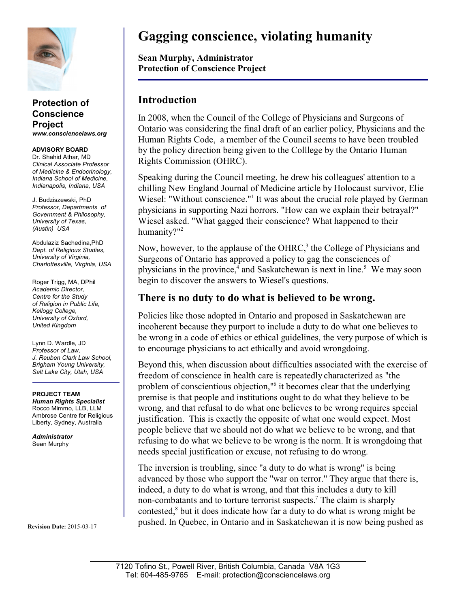

#### **Protection of Conscience Project** *www.consciencelaws.org*

**ADVISORY BOARD** Dr. Shahid Athar, MD *Clinical Associate Professor of Medicine & Endocrinology, Indiana School of Medicine, Indianapolis, Indiana, USA*

J. Budziszewski, PhD *Professor, Departments of Government & Philosophy, University of Texas, (Austin) USA*

Abdulaziz Sachedina,PhD *Dept. of Religious Studies, University of Virginia, Charlottesville, Virginia, USA*

Roger Trigg, MA, DPhil *Academic Director, Centre for the Study of Religion in Public Life, Kellogg College, University of Oxford, United Kingdom*

Lynn D. Wardle, JD *Professor of Law, J. Reuben Clark Law School, Brigham Young University, Salt Lake City, Utah, USA*

**PROJECT TEAM** *Human Rights Specialist* Rocco Mimmo, LLB, LLM Ambrose Centre for Religious Liberty, Sydney, Australia

*Administrator* Sean Murphy

**Revision Date:** 2015-03-17

# **Gagging conscience, violating humanity**

**Sean Murphy, Administrator Protection of Conscience Project**

## **Introduction**

In 2008, when the Council of the College of Physicians and Surgeons of Ontario was considering the final draft of an earlier policy, Physicians and the Human Rights Code, a member of the Council seems to have been troubled by the policy direction being given to the Colllege by the Ontario Human Rights Commission (OHRC).

Speaking during the Council meeting, he drew his colleagues' attention to a chilling New England Journal of Medicine article by Holocaust survivor, Elie Wiesel: "Without conscience."<sup>1</sup> It was about the crucial role played by German physicians in supporting Nazi horrors. "How can we explain their betrayal?" Wiesel asked. "What gagged their conscience? What happened to their humanity?"<sup>2</sup>

Now, however, to the applause of the OHRC, $3$  the College of Physicians and Surgeons of Ontario has approved a policy to gag the consciences of physicians in the province,<sup>4</sup> and Saskatchewan is next in line.<sup>5</sup> We may soon begin to discover the answers to Wiesel's questions.

### **There is no duty to do what is believed to be wrong.**

Policies like those adopted in Ontario and proposed in Saskatchewan are incoherent because they purport to include a duty to do what one believes to be wrong in a code of ethics or ethical guidelines, the very purpose of which is to encourage physicians to act ethically and avoid wrongdoing.

Beyond this, when discussion about difficulties associated with the exercise of freedom of conscience in health care is repeatedly characterized as "the problem of conscientious objection,"<sup>6</sup> it becomes clear that the underlying premise is that people and institutions ought to do what they believe to be wrong, and that refusal to do what one believes to be wrong requires special justification. This is exactly the opposite of what one would expect. Most people believe that we should not do what we believe to be wrong, and that refusing to do what we believe to be wrong is the norm. It is wrongdoing that needs special justification or excuse, not refusing to do wrong.

The inversion is troubling, since "a duty to do what is wrong" is being advanced by those who support the "war on terror." They argue that there is, indeed, a duty to do what is wrong, and that this includes a duty to kill non-combatants and to torture terrorist suspects.<sup>7</sup> The claim is sharply contested,<sup>8</sup> but it does indicate how far a duty to do what is wrong might be pushed. In Quebec, in Ontario and in Saskatchewan it is now being pushed as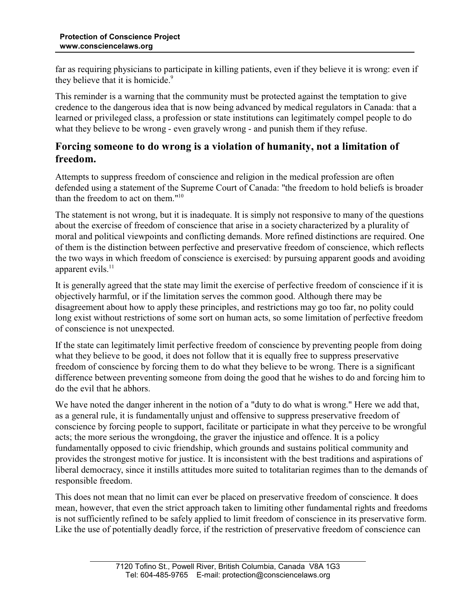far as requiring physicians to participate in killing patients, even if they believe it is wrong: even if they believe that it is homicide.<sup>9</sup>

This reminder is a warning that the community must be protected against the temptation to give credence to the dangerous idea that is now being advanced by medical regulators in Canada: that a learned or privileged class, a profession or state institutions can legitimately compel people to do what they believe to be wrong - even gravely wrong - and punish them if they refuse.

#### **Forcing someone to do wrong is a violation of humanity, not a limitation of freedom.**

Attempts to suppress freedom of conscience and religion in the medical profession are often defended using a statement of the Supreme Court of Canada: "the freedom to hold beliefs is broader than the freedom to act on them."<sup>10</sup>

The statement is not wrong, but it is inadequate. It is simply not responsive to many of the questions about the exercise of freedom of conscience that arise in a society characterized by a plurality of moral and political viewpoints and conflicting demands. More refined distinctions are required. One of them is the distinction between perfective and preservative freedom of conscience, which reflects the two ways in which freedom of conscience is exercised: by pursuing apparent goods and avoiding apparent evils. $11$ 

It is generally agreed that the state may limit the exercise of perfective freedom of conscience if it is objectively harmful, or if the limitation serves the common good. Although there may be disagreement about how to apply these principles, and restrictions may go too far, no polity could long exist without restrictions of some sort on human acts, so some limitation of perfective freedom of conscience is not unexpected.

If the state can legitimately limit perfective freedom of conscience by preventing people from doing what they believe to be good, it does not follow that it is equally free to suppress preservative freedom of conscience by forcing them to do what they believe to be wrong. There is a significant difference between preventing someone from doing the good that he wishes to do and forcing him to do the evil that he abhors.

We have noted the danger inherent in the notion of a "duty to do what is wrong." Here we add that, as a general rule, it is fundamentally unjust and offensive to suppress preservative freedom of conscience by forcing people to support, facilitate or participate in what they perceive to be wrongful acts; the more serious the wrongdoing, the graver the injustice and offence. It is a policy fundamentally opposed to civic friendship, which grounds and sustains political community and provides the strongest motive for justice. It is inconsistent with the best traditions and aspirations of liberal democracy, since it instills attitudes more suited to totalitarian regimes than to the demands of responsible freedom.

This does not mean that no limit can ever be placed on preservative freedom of conscience. It does mean, however, that even the strict approach taken to limiting other fundamental rights and freedoms is not sufficiently refined to be safely applied to limit freedom of conscience in its preservative form. Like the use of potentially deadly force, if the restriction of preservative freedom of conscience can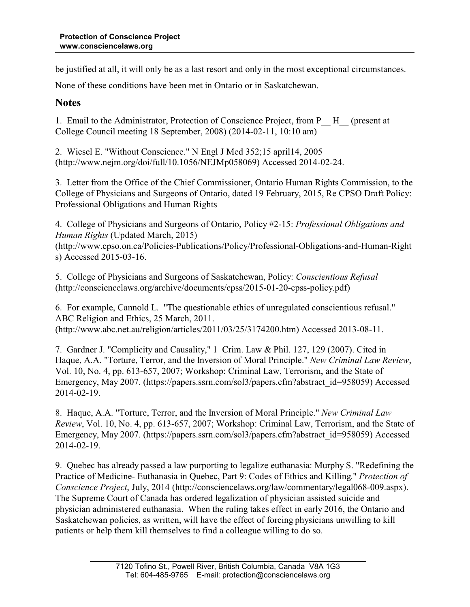be justified at all, it will only be as a last resort and only in the most exceptional circumstances.

None of these conditions have been met in Ontario or in Saskatchewan.

#### **Notes**

1. Email to the Administrator, Protection of Conscience Project, from P\_\_ H\_\_ (present at College Council meeting 18 September, 2008) (2014-02-11, 10:10 am)

2. Wiesel E. "Without Conscience." N Engl J Med 352;15 april14, 2005 (http://www.nejm.org/doi/full/10.1056/NEJMp058069) Accessed 2014-02-24.

3. Letter from the Office of the Chief Commissioner, Ontario Human Rights Commission, to the College of Physicians and Surgeons of Ontario, dated 19 February, 2015, Re CPSO Draft Policy: Professional Obligations and Human Rights

4. College of Physicians and Surgeons of Ontario, Policy #2-15: *Professional Obligations and Human Rights* (Updated March, 2015) (http://www.cpso.on.ca/Policies-Publications/Policy/Professional-Obligations-and-Human-Right

s) Accessed 2015-03-16.

5. College of Physicians and Surgeons of Saskatchewan, Policy: *Conscientious Refusal* (http://consciencelaws.org/archive/documents/cpss/2015-01-20-cpss-policy.pdf)

6. For example, Cannold L. "The questionable ethics of unregulated conscientious refusal." ABC Religion and Ethics, 25 March, 2011. (http://www.abc.net.au/religion/articles/2011/03/25/3174200.htm) Accessed 2013-08-11.

7. Gardner J. "Complicity and Causality," 1 Crim. Law & Phil. 127, 129 (2007). Cited in Haque, A.A. "Torture, Terror, and the Inversion of Moral Principle." *New Criminal Law Review*, Vol. 10, No. 4, pp. 613-657, 2007; Workshop: Criminal Law, Terrorism, and the State of Emergency, May 2007. (https://papers.ssrn.com/sol3/papers.cfm?abstract\_id=958059) Accessed 2014-02-19.

8. Haque, A.A. "Torture, Terror, and the Inversion of Moral Principle." *New Criminal Law Review*, Vol. 10, No. 4, pp. 613-657, 2007; Workshop: Criminal Law, Terrorism, and the State of Emergency, May 2007. (https://papers.ssrn.com/sol3/papers.cfm?abstract\_id=958059) Accessed 2014-02-19.

9. Quebec has already passed a law purporting to legalize euthanasia: Murphy S. "Redefining the Practice of Medicine- Euthanasia in Quebec, Part 9: Codes of Ethics and Killing." *Protection of Conscience Project*, July, 2014 (http://consciencelaws.org/law/commentary/legal068-009.aspx). The Supreme Court of Canada has ordered legalization of physician assisted suicide and physician administered euthanasia. When the ruling takes effect in early 2016, the Ontario and Saskatchewan policies, as written, will have the effect of forcing physicians unwilling to kill patients or help them kill themselves to find a colleague willing to do so.